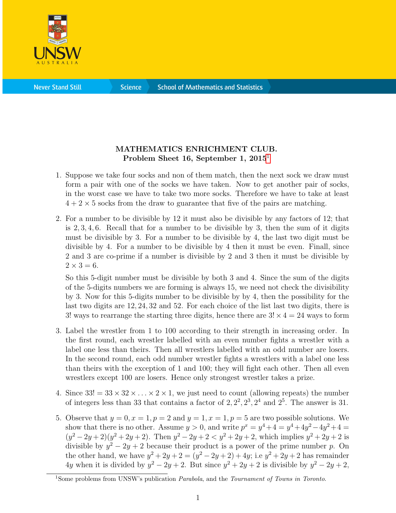

**Science** 

## MATHEMATICS ENRICHMENT CLUB. Problem Sheet [1](#page-0-0)6, September 1, 2015<sup>1</sup>

- 1. Suppose we take four socks and non of them match, then the next sock we draw must form a pair with one of the socks we have taken. Now to get another pair of socks, in the worst case we have to take two more socks. Therefore we have to take at least  $4 + 2 \times 5$  socks from the draw to guarantee that five of the pairs are matching.
- 2. For a number to be divisible by 12 it must also be divisible by any factors of 12; that is  $2, 3, 4, 6$ . Recall that for a number to be divisible by 3, then the sum of it digits must be divisible by 3. For a number to be divisible by 4, the last two digit must be divisible by 4. For a number to be divisible by 4 then it must be even. Finall, since 2 and 3 are co-prime if a number is divisible by 2 and 3 then it must be divisible by  $2 \times 3 = 6$ .

So this 5-digit number must be divisible by both 3 and 4. Since the sum of the digits of the 5-digits numbers we are forming is always 15, we need not check the divisibility by 3. Now for this 5-digits number to be divisible by by 4, then the possibility for the last two digits are 12, 24, 32 and 52. For each choice of the list last two digits, there is 3! ways to rearrange the starting three digits, hence there are  $3! \times 4 = 24$  ways to form

- 3. Label the wrestler from 1 to 100 according to their strength in increasing order. In the first round, each wrestler labelled with an even number fights a wrestler with a label one less than theirs. Then all wrestlers labelled with an odd number are losers. In the second round, each odd number wrestler fights a wrestlers with a label one less than theirs with the exception of 1 and 100; they will fight each other. Then all even wrestlers except 100 are losers. Hence only strongest wrestler takes a prize.
- 4. Since  $33! = 33 \times 32 \times \ldots \times 2 \times 1$ , we just need to count (allowing repeats) the number of integers less than 33 that contains a factor of  $2, 2^2, 2^3, 2^4$  and  $2^5$ . The answer is 31.
- 5. Observe that  $y = 0, x = 1, p = 2$  and  $y = 1, x = 1, p = 5$  are two possible solutions. We show that there is no other. Assume  $y > 0$ , and write  $p^x = y^4 + 4 = y^4 + 4y^2 - 4y^2 + 4 = 0$  $(y^2 - 2y + 2)(y^2 + 2y + 2)$ . Then  $y^2 - 2y + 2 < y^2 + 2y + 2$ , which implies  $y^2 + 2y + 2$  is divisible by  $y^2 - 2y + 2$  because their product is a power of the prime number p. On the other hand, we have  $y^2 + 2y + 2 = (y^2 - 2y + 2) + 4y$ ; i.e  $y^2 + 2y + 2$  has remainder 4y when it is divided by  $y^2 - 2y + 2$ . But since  $y^2 + 2y + 2$  is divisible by  $y^2 - 2y + 2$ ,

<span id="page-0-0"></span><sup>&</sup>lt;sup>1</sup>Some problems from UNSW's publication *Parabola*, and the *Tournament of Towns in Toronto*.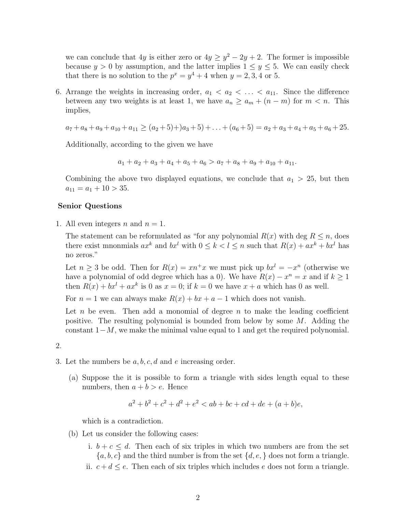we can conclude that 4y is either zero or  $4y \ge y^2 - 2y + 2$ . The former is impossible because  $y > 0$  by assumption, and the latter implies  $1 \le y \le 5$ . We can easily check that there is no solution to the  $p^x = y^4 + 4$  when  $y = 2, 3, 4$  or 5.

6. Arrange the weights in increasing order,  $a_1 < a_2 < \ldots < a_{11}$ . Since the difference between any two weights is at least 1, we have  $a_n \ge a_m + (n-m)$  for  $m < n$ . This implies,

 $a_7 + a_8 + a_9 + a_{10} + a_{11} > (a_2 + 5) + a_3 + 5 + \ldots + (a_6 + 5) = a_2 + a_3 + a_4 + a_5 + a_6 + 25.$ 

Additionally, according to the given we have

$$
a_1 + a_2 + a_3 + a_4 + a_5 + a_6 > a_7 + a_8 + a_9 + a_{10} + a_{11}.
$$

Combining the above two displayed equations, we conclude that  $a_1 > 25$ , but then  $a_{11} = a_1 + 10 > 35.$ 

## Senior Questions

1. All even integers *n* and  $n = 1$ .

The statement can be reformulated as "for any polynomial  $R(x)$  with deg  $R \leq n$ , does there exist mnonmials  $ax^k$  and  $bx^l$  with  $0 \le k < l \le n$  such that  $R(x) + ax^k + bx^l$  has no zeros."

Let  $n \geq 3$  be odd. Then for  $R(x) = xn^+x$  we must pick up  $bx^l = -x^n$  (otherwise we have a polynomial of odd degree which has a 0). We have  $R(x) - x^n = x$  and if  $k \ge 1$ then  $R(x) + bx^{l} + ax^{k}$  is 0 as  $x = 0$ ; if  $k = 0$  we have  $x + a$  which has 0 as well.

For  $n = 1$  we can always make  $R(x) + bx + a - 1$  which does not vanish.

Let n be even. Then add a monomial of degree  $n$  to make the leading coefficient positive. The resulting polynomial is bounded from below by some M. Adding the constant  $1-M$ , we make the minimal value equal to 1 and get the required polynomial.

2.

- 3. Let the numbers be  $a, b, c, d$  and e increasing order.
	- (a) Suppose the it is possible to form a triangle with sides length equal to these numbers, then  $a + b > e$ . Hence

$$
a^2 + b^2 + c^2 + d^2 + e^2 < ab + bc + cd + de + (a + b)e,
$$

which is a contradiction.

- (b) Let us consider the following cases:
	- i.  $b + c \leq d$ . Then each of six triples in which two numbers are from the set  ${a, b, c}$  and the third number is from the set  ${d, e,}$  does not form a triangle. ii.  $c + d \leq e$ . Then each of six triples which includes e does not form a triangle.